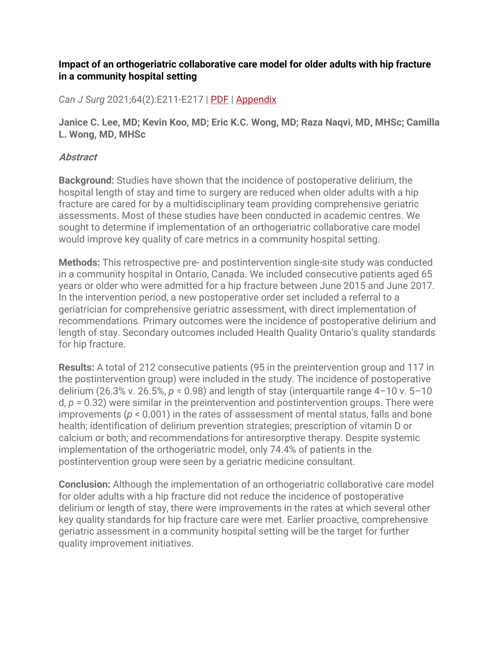## **Impact of an orthogeriatric collaborative care model for older adults with hip fracture in a community hospital setting**

*Can J Surg* 2021;64(2):E211-E217 | [PDF](https://www.canjsurg.ca/content/cjs/64/2/E211.full.pdf) | [Appendix](http://canjsurg.ca/wp-content/uploads/2021/03/001720-a1.pdf)

**Janice C. Lee, MD; Kevin Koo, MD; Eric K.C. Wong, MD; Raza Naqvi, MD, MHSc; Camilla L. Wong, MD, MHSc**

## **Abstract**

**Background:** Studies have shown that the incidence of postoperative delirium, the hospital length of stay and time to surgery are reduced when older adults with a hip fracture are cared for by a multidisciplinary team providing comprehensive geriatric assessments. Most of these studies have been conducted in academic centres. We sought to determine if implementation of an orthogeriatric collaborative care model would improve key quality of care metrics in a community hospital setting.

**Methods:** This retrospective pre- and postintervention single-site study was conducted in a community hospital in Ontario, Canada. We included consecutive patients aged 65 years or older who were admitted for a hip fracture between June 2015 and June 2017. In the intervention period, a new postoperative order set included a referral to a geriatrician for comprehensive geriatric assessment, with direct implementation of recommendations. Primary outcomes were the incidence of postoperative delirium and length of stay. Secondary outcomes included Health Quality Ontario's quality standards for hip fracture.

**Results:** A total of 212 consecutive patients (95 in the preintervention group and 117 in the postintervention group) were included in the study. The incidence of postoperative delirium (26.3% v. 26.5%, *p* = 0.98) and length of stay (interquartile range 4–10 v. 5–10 d, *p* = 0.32) were similar in the preintervention and postintervention groups. There were improvements (*p* < 0.001) in the rates of asssessment of mental status, falls and bone health; identification of delirium prevention strategies; prescription of vitamin D or calcium or both; and recommendations for antiresorptive therapy. Despite systemic implementation of the orthogeriatric model, only 74.4% of patients in the postintervention group were seen by a geriatric medicine consultant.

**Conclusion:** Although the implementation of an orthogeriatric collaborative care model for older adults with a hip fracture did not reduce the incidence of postoperative delirium or length of stay, there were improvements in the rates at which several other key quality standards for hip fracture care were met. Earlier proactive, comprehensive geriatric assessment in a community hospital setting will be the target for further quality improvement initiatives.